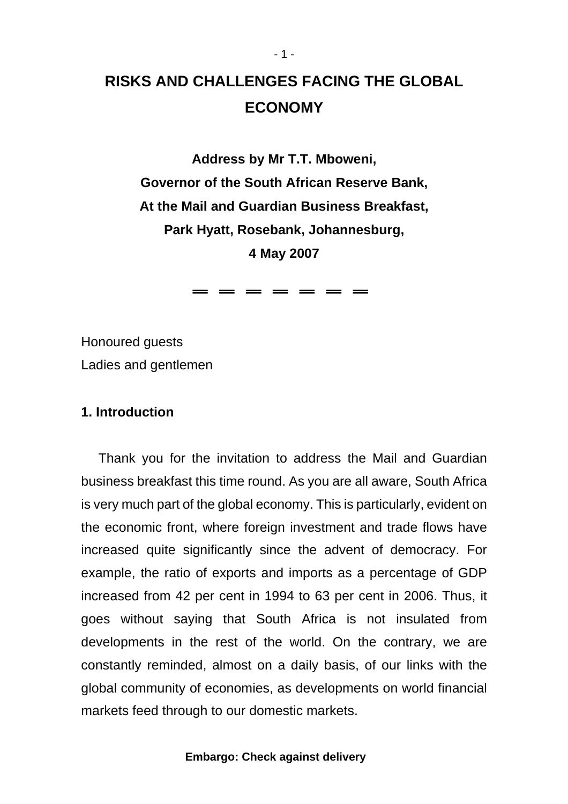# **RISKS AND CHALLENGES FACING THE GLOBAL ECONOMY**

**Address by Mr T.T. Mboweni, Governor of the South African Reserve Bank, At the Mail and Guardian Business Breakfast, Park Hyatt, Rosebank, Johannesburg, 4 May 2007** 

 $=$   $=$   $=$   $=$   $=$   $=$ 

Honoured guests Ladies and gentlemen

### **1. Introduction**

Thank you for the invitation to address the Mail and Guardian business breakfast this time round. As you are all aware, South Africa is very much part of the global economy. This is particularly, evident on the economic front, where foreign investment and trade flows have increased quite significantly since the advent of democracy. For example, the ratio of exports and imports as a percentage of GDP increased from 42 per cent in 1994 to 63 per cent in 2006. Thus, it goes without saying that South Africa is not insulated from developments in the rest of the world. On the contrary, we are constantly reminded, almost on a daily basis, of our links with the global community of economies, as developments on world financial markets feed through to our domestic markets.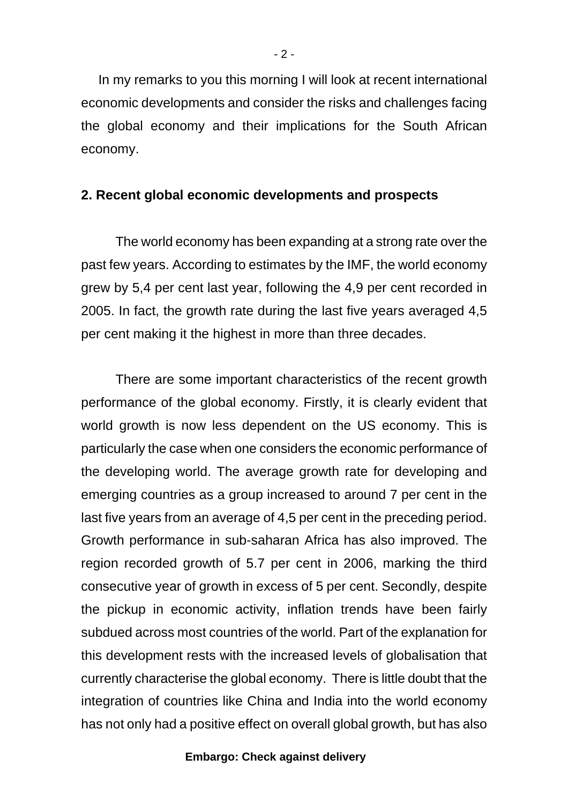In my remarks to you this morning I will look at recent international economic developments and consider the risks and challenges facing the global economy and their implications for the South African economy.

## **2. Recent global economic developments and prospects**

The world economy has been expanding at a strong rate over the past few years. According to estimates by the IMF, the world economy grew by 5,4 per cent last year, following the 4,9 per cent recorded in 2005. In fact, the growth rate during the last five years averaged 4,5 per cent making it the highest in more than three decades.

There are some important characteristics of the recent growth performance of the global economy. Firstly, it is clearly evident that world growth is now less dependent on the US economy. This is particularly the case when one considers the economic performance of the developing world. The average growth rate for developing and emerging countries as a group increased to around 7 per cent in the last five years from an average of 4,5 per cent in the preceding period. Growth performance in sub-saharan Africa has also improved. The region recorded growth of 5.7 per cent in 2006, marking the third consecutive year of growth in excess of 5 per cent. Secondly, despite the pickup in economic activity, inflation trends have been fairly subdued across most countries of the world. Part of the explanation for this development rests with the increased levels of globalisation that currently characterise the global economy. There is little doubt that the integration of countries like China and India into the world economy has not only had a positive effect on overall global growth, but has also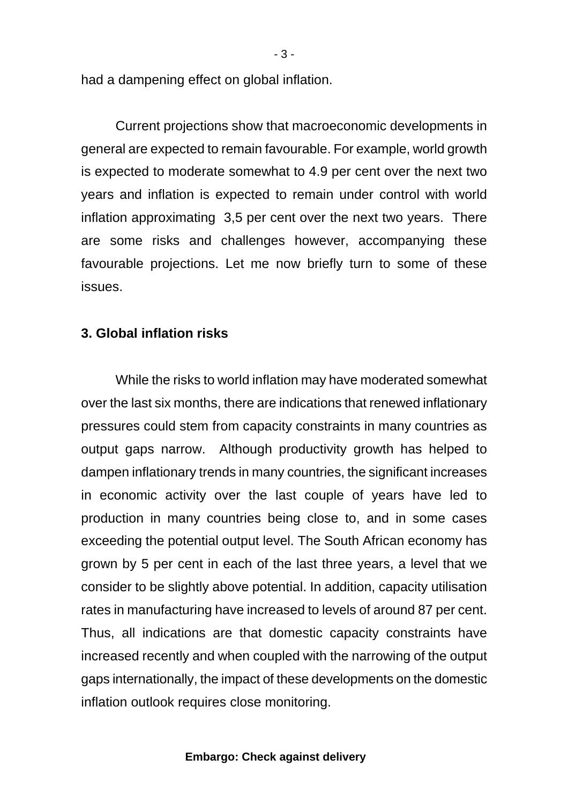had a dampening effect on global inflation.

Current projections show that macroeconomic developments in general are expected to remain favourable. For example, world growth is expected to moderate somewhat to 4.9 per cent over the next two years and inflation is expected to remain under control with world inflation approximating 3,5 per cent over the next two years. There are some risks and challenges however, accompanying these favourable projections. Let me now briefly turn to some of these issues.

### **3. Global inflation risks**

While the risks to world inflation may have moderated somewhat over the last six months, there are indications that renewed inflationary pressures could stem from capacity constraints in many countries as output gaps narrow. Although productivity growth has helped to dampen inflationary trends in many countries, the significant increases in economic activity over the last couple of years have led to production in many countries being close to, and in some cases exceeding the potential output level. The South African economy has grown by 5 per cent in each of the last three years, a level that we consider to be slightly above potential. In addition, capacity utilisation rates in manufacturing have increased to levels of around 87 per cent. Thus, all indications are that domestic capacity constraints have increased recently and when coupled with the narrowing of the output gaps internationally, the impact of these developments on the domestic inflation outlook requires close monitoring.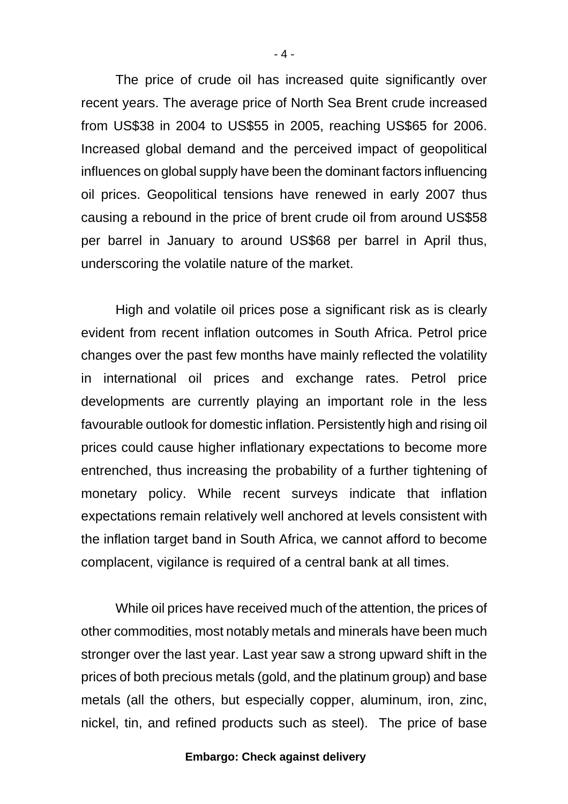The price of crude oil has increased quite significantly over recent years. The average price of North Sea Brent crude increased from US\$38 in 2004 to US\$55 in 2005, reaching US\$65 for 2006. Increased global demand and the perceived impact of geopolitical influences on global supply have been the dominant factors influencing oil prices. Geopolitical tensions have renewed in early 2007 thus causing a rebound in the price of brent crude oil from around US\$58 per barrel in January to around US\$68 per barrel in April thus, underscoring the volatile nature of the market.

High and volatile oil prices pose a significant risk as is clearly evident from recent inflation outcomes in South Africa. Petrol price changes over the past few months have mainly reflected the volatility in international oil prices and exchange rates. Petrol price developments are currently playing an important role in the less favourable outlook for domestic inflation. Persistently high and rising oil prices could cause higher inflationary expectations to become more entrenched, thus increasing the probability of a further tightening of monetary policy. While recent surveys indicate that inflation expectations remain relatively well anchored at levels consistent with the inflation target band in South Africa, we cannot afford to become complacent, vigilance is required of a central bank at all times.

While oil prices have received much of the attention, the prices of other commodities, most notably metals and minerals have been much stronger over the last year. Last year saw a strong upward shift in the prices of both precious metals (gold, and the platinum group) and base metals (all the others, but especially copper, aluminum, iron, zinc, nickel, tin, and refined products such as steel). The price of base

#### **Embargo: Check against delivery**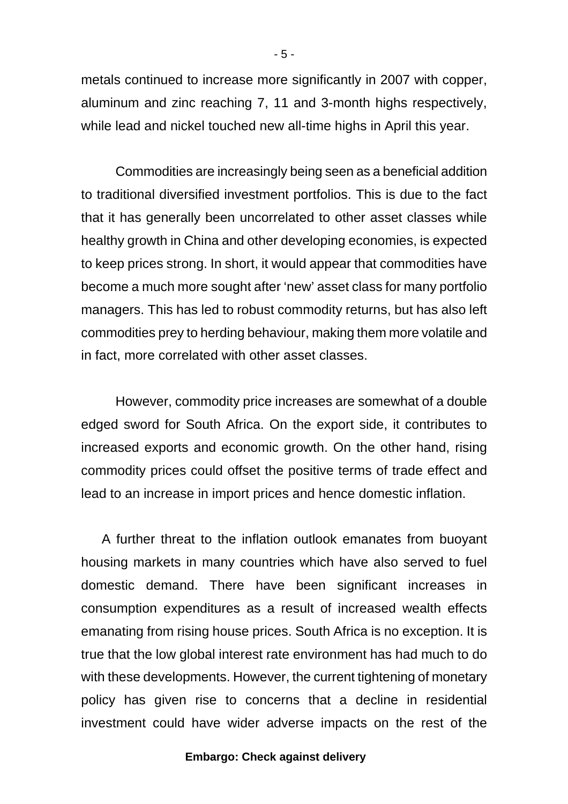metals continued to increase more significantly in 2007 with copper, aluminum and zinc reaching 7, 11 and 3-month highs respectively, while lead and nickel touched new all-time highs in April this year.

Commodities are increasingly being seen as a beneficial addition to traditional diversified investment portfolios. This is due to the fact that it has generally been uncorrelated to other asset classes while healthy growth in China and other developing economies, is expected to keep prices strong. In short, it would appear that commodities have become a much more sought after 'new' asset class for many portfolio managers. This has led to robust commodity returns, but has also left commodities prey to herding behaviour, making them more volatile and in fact, more correlated with other asset classes.

However, commodity price increases are somewhat of a double edged sword for South Africa. On the export side, it contributes to increased exports and economic growth. On the other hand, rising commodity prices could offset the positive terms of trade effect and lead to an increase in import prices and hence domestic inflation.

 A further threat to the inflation outlook emanates from buoyant housing markets in many countries which have also served to fuel domestic demand. There have been significant increases in consumption expenditures as a result of increased wealth effects emanating from rising house prices. South Africa is no exception. It is true that the low global interest rate environment has had much to do with these developments. However, the current tightening of monetary policy has given rise to concerns that a decline in residential investment could have wider adverse impacts on the rest of the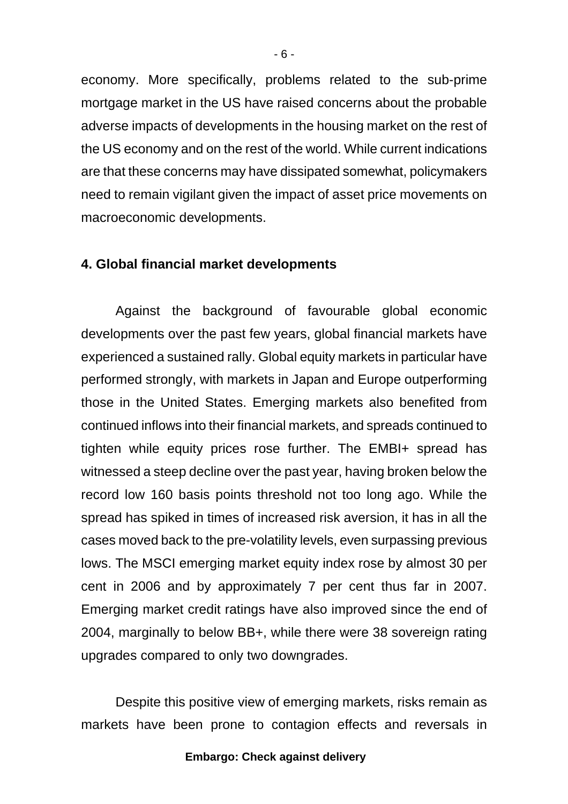economy. More specifically, problems related to the sub-prime mortgage market in the US have raised concerns about the probable adverse impacts of developments in the housing market on the rest of the US economy and on the rest of the world. While current indications are that these concerns may have dissipated somewhat, policymakers need to remain vigilant given the impact of asset price movements on macroeconomic developments.

## **4. Global financial market developments**

Against the background of favourable global economic developments over the past few years, global financial markets have experienced a sustained rally. Global equity markets in particular have performed strongly, with markets in Japan and Europe outperforming those in the United States. Emerging markets also benefited from continued inflows into their financial markets, and spreads continued to tighten while equity prices rose further. The EMBI+ spread has witnessed a steep decline over the past year, having broken below the record low 160 basis points threshold not too long ago. While the spread has spiked in times of increased risk aversion, it has in all the cases moved back to the pre-volatility levels, even surpassing previous lows. The MSCI emerging market equity index rose by almost 30 per cent in 2006 and by approximately 7 per cent thus far in 2007. Emerging market credit ratings have also improved since the end of 2004, marginally to below BB+, while there were 38 sovereign rating upgrades compared to only two downgrades.

Despite this positive view of emerging markets, risks remain as markets have been prone to contagion effects and reversals in

#### **Embargo: Check against delivery**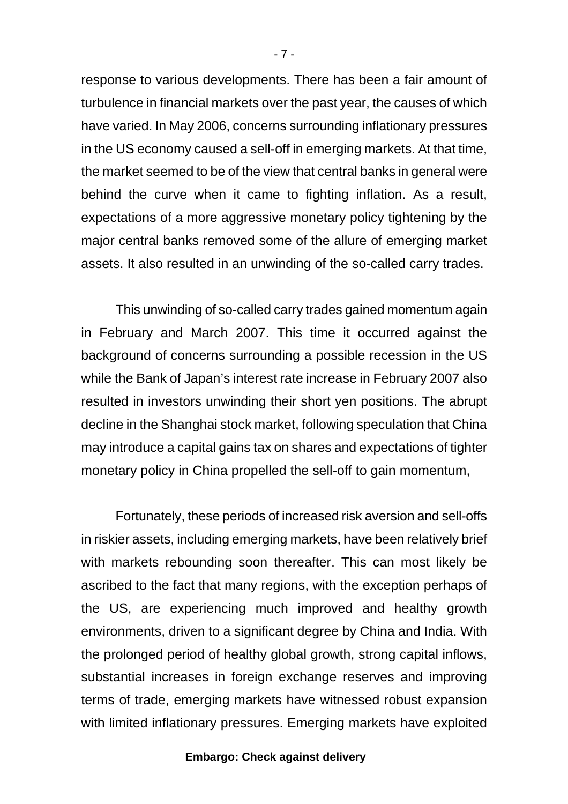response to various developments. There has been a fair amount of turbulence in financial markets over the past year, the causes of which have varied. In May 2006, concerns surrounding inflationary pressures in the US economy caused a sell-off in emerging markets. At that time, the market seemed to be of the view that central banks in general were behind the curve when it came to fighting inflation. As a result, expectations of a more aggressive monetary policy tightening by the major central banks removed some of the allure of emerging market assets. It also resulted in an unwinding of the so-called carry trades.

This unwinding of so-called carry trades gained momentum again in February and March 2007. This time it occurred against the background of concerns surrounding a possible recession in the US while the Bank of Japan's interest rate increase in February 2007 also resulted in investors unwinding their short yen positions. The abrupt decline in the Shanghai stock market, following speculation that China may introduce a capital gains tax on shares and expectations of tighter monetary policy in China propelled the sell-off to gain momentum,

Fortunately, these periods of increased risk aversion and sell-offs in riskier assets, including emerging markets, have been relatively brief with markets rebounding soon thereafter. This can most likely be ascribed to the fact that many regions, with the exception perhaps of the US, are experiencing much improved and healthy growth environments, driven to a significant degree by China and India. With the prolonged period of healthy global growth, strong capital inflows, substantial increases in foreign exchange reserves and improving terms of trade, emerging markets have witnessed robust expansion with limited inflationary pressures. Emerging markets have exploited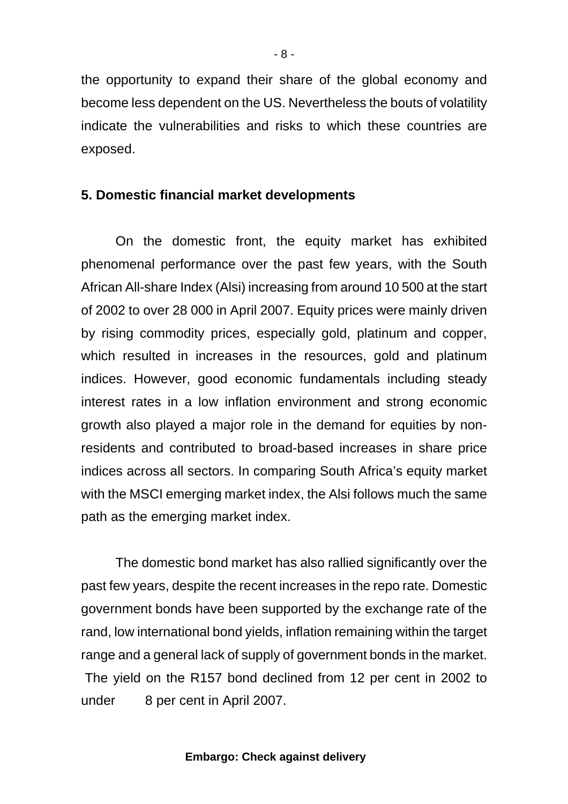the opportunity to expand their share of the global economy and become less dependent on the US. Nevertheless the bouts of volatility indicate the vulnerabilities and risks to which these countries are exposed.

# **5. Domestic financial market developments**

On the domestic front, the equity market has exhibited phenomenal performance over the past few years, with the South African All-share Index (Alsi) increasing from around 10 500 at the start of 2002 to over 28 000 in April 2007. Equity prices were mainly driven by rising commodity prices, especially gold, platinum and copper, which resulted in increases in the resources, gold and platinum indices. However, good economic fundamentals including steady interest rates in a low inflation environment and strong economic growth also played a major role in the demand for equities by nonresidents and contributed to broad-based increases in share price indices across all sectors. In comparing South Africa's equity market with the MSCI emerging market index, the Alsi follows much the same path as the emerging market index.

The domestic bond market has also rallied significantly over the past few years, despite the recent increases in the repo rate. Domestic government bonds have been supported by the exchange rate of the rand, low international bond yields, inflation remaining within the target range and a general lack of supply of government bonds in the market. The yield on the R157 bond declined from 12 per cent in 2002 to under 8 per cent in April 2007.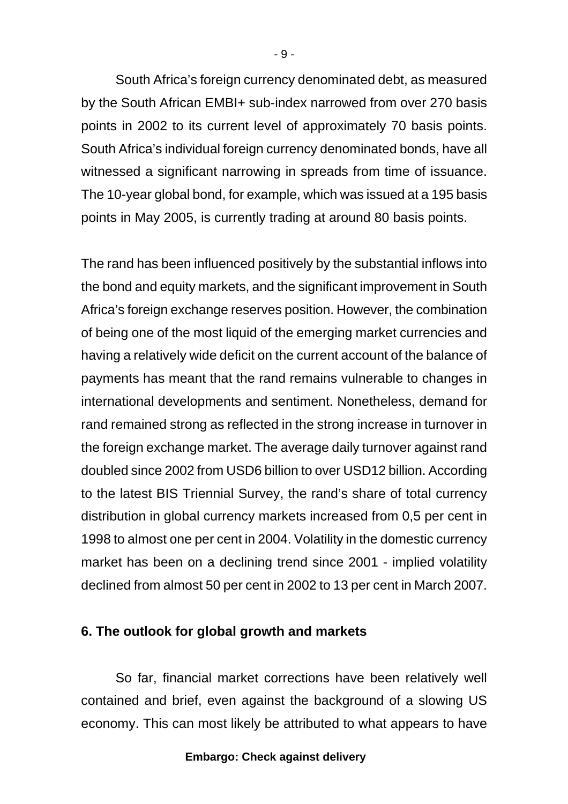South Africa's foreign currency denominated debt, as measured by the South African EMBI+ sub-index narrowed from over 270 basis points in 2002 to its current level of approximately 70 basis points. South Africa's individual foreign currency denominated bonds, have all witnessed a significant narrowing in spreads from time of issuance. The 10-year global bond, for example, which was issued at a 195 basis points in May 2005, is currently trading at around 80 basis points.

The rand has been influenced positively by the substantial inflows into the bond and equity markets, and the significant improvement in South Africa's foreign exchange reserves position. However, the combination of being one of the most liquid of the emerging market currencies and having a relatively wide deficit on the current account of the balance of payments has meant that the rand remains vulnerable to changes in international developments and sentiment. Nonetheless, demand for rand remained strong as reflected in the strong increase in turnover in the foreign exchange market. The average daily turnover against rand doubled since 2002 from USD6 billion to over USD12 billion. According to the latest BIS Triennial Survey, the rand's share of total currency distribution in global currency markets increased from 0,5 per cent in 1998 to almost one per cent in 2004. Volatility in the domestic currency market has been on a declining trend since 2001 - implied volatility declined from almost 50 per cent in 2002 to 13 per cent in March 2007.

### **6. The outlook for global growth and markets**

So far, financial market corrections have been relatively well contained and brief, even against the background of a slowing US economy. This can most likely be attributed to what appears to have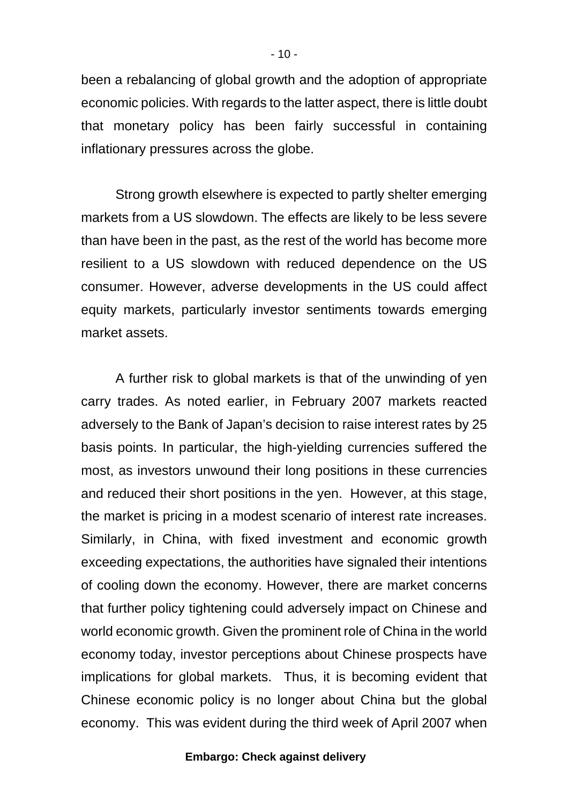been a rebalancing of global growth and the adoption of appropriate economic policies. With regards to the latter aspect, there is little doubt that monetary policy has been fairly successful in containing inflationary pressures across the globe.

Strong growth elsewhere is expected to partly shelter emerging markets from a US slowdown. The effects are likely to be less severe than have been in the past, as the rest of the world has become more resilient to a US slowdown with reduced dependence on the US consumer. However, adverse developments in the US could affect equity markets, particularly investor sentiments towards emerging market assets.

A further risk to global markets is that of the unwinding of yen carry trades. As noted earlier, in February 2007 markets reacted adversely to the Bank of Japan's decision to raise interest rates by 25 basis points. In particular, the high-yielding currencies suffered the most, as investors unwound their long positions in these currencies and reduced their short positions in the yen. However, at this stage, the market is pricing in a modest scenario of interest rate increases. Similarly, in China, with fixed investment and economic growth exceeding expectations, the authorities have signaled their intentions of cooling down the economy. However, there are market concerns that further policy tightening could adversely impact on Chinese and world economic growth. Given the prominent role of China in the world economy today, investor perceptions about Chinese prospects have implications for global markets. Thus, it is becoming evident that Chinese economic policy is no longer about China but the global economy. This was evident during the third week of April 2007 when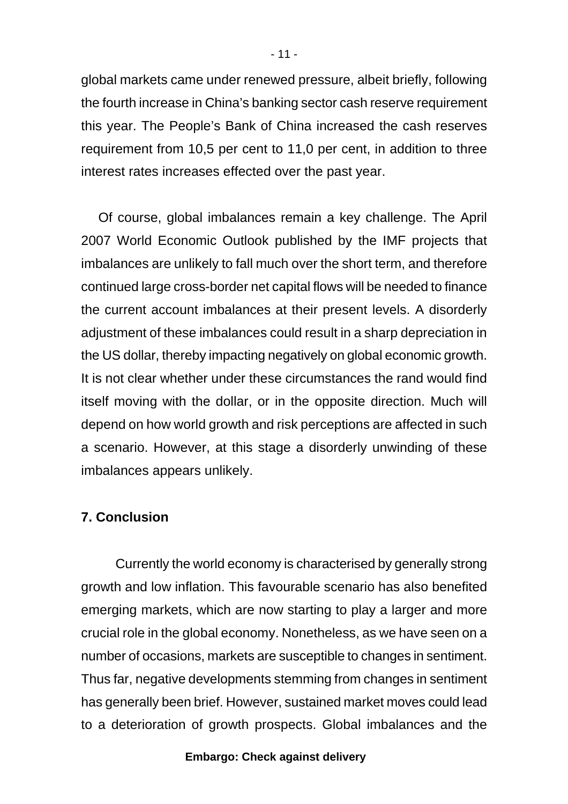global markets came under renewed pressure, albeit briefly, following the fourth increase in China's banking sector cash reserve requirement this year. The People's Bank of China increased the cash reserves requirement from 10,5 per cent to 11,0 per cent, in addition to three interest rates increases effected over the past year.

Of course, global imbalances remain a key challenge. The April 2007 World Economic Outlook published by the IMF projects that imbalances are unlikely to fall much over the short term, and therefore continued large cross-border net capital flows will be needed to finance the current account imbalances at their present levels. A disorderly adjustment of these imbalances could result in a sharp depreciation in the US dollar, thereby impacting negatively on global economic growth. It is not clear whether under these circumstances the rand would find itself moving with the dollar, or in the opposite direction. Much will depend on how world growth and risk perceptions are affected in such a scenario. However, at this stage a disorderly unwinding of these imbalances appears unlikely.

# **7. Conclusion**

Currently the world economy is characterised by generally strong growth and low inflation. This favourable scenario has also benefited emerging markets, which are now starting to play a larger and more crucial role in the global economy. Nonetheless, as we have seen on a number of occasions, markets are susceptible to changes in sentiment. Thus far, negative developments stemming from changes in sentiment has generally been brief. However, sustained market moves could lead to a deterioration of growth prospects. Global imbalances and the